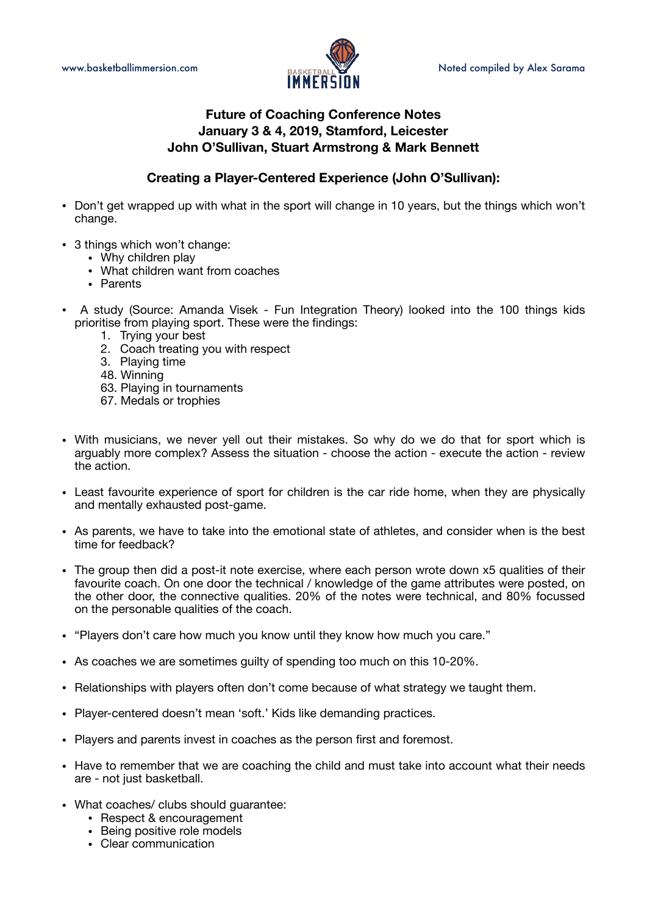

# **Future of Coaching Conference Notes January 3 & 4, 2019, Stamford, Leicester John O'Sullivan, Stuart Armstrong & Mark Bennett**

# **Creating a Player-Centered Experience (John O'Sullivan):**

- Don't get wrapped up with what in the sport will change in 10 years, but the things which won't change.
- 3 things which won't change:
	- Why children play
	- What children want from coaches
	- Parents
- A study (Source: Amanda Visek Fun Integration Theory) looked into the 100 things kids prioritise from playing sport. These were the findings:
	- 1. Trying your best
	- 2. Coach treating you with respect
	- 3. Playing time
	- 48. Winning
	- 63. Playing in tournaments
	- 67. Medals or trophies
- With musicians, we never yell out their mistakes. So why do we do that for sport which is arguably more complex? Assess the situation - choose the action - execute the action - review the action.
- Least favourite experience of sport for children is the car ride home, when they are physically and mentally exhausted post-game.
- As parents, we have to take into the emotional state of athletes, and consider when is the best time for feedback?
- The group then did a post-it note exercise, where each person wrote down x5 qualities of their favourite coach. On one door the technical / knowledge of the game attributes were posted, on the other door, the connective qualities. 20% of the notes were technical, and 80% focussed on the personable qualities of the coach.
- "Players don't care how much you know until they know how much you care."
- As coaches we are sometimes guilty of spending too much on this 10-20%.
- Relationships with players often don't come because of what strategy we taught them.
- Player-centered doesn't mean 'soft.' Kids like demanding practices.
- Players and parents invest in coaches as the person first and foremost.
- Have to remember that we are coaching the child and must take into account what their needs are - not just basketball.
- What coaches/ clubs should guarantee:
	- Respect & encouragement
	- Being positive role models
	- Clear communication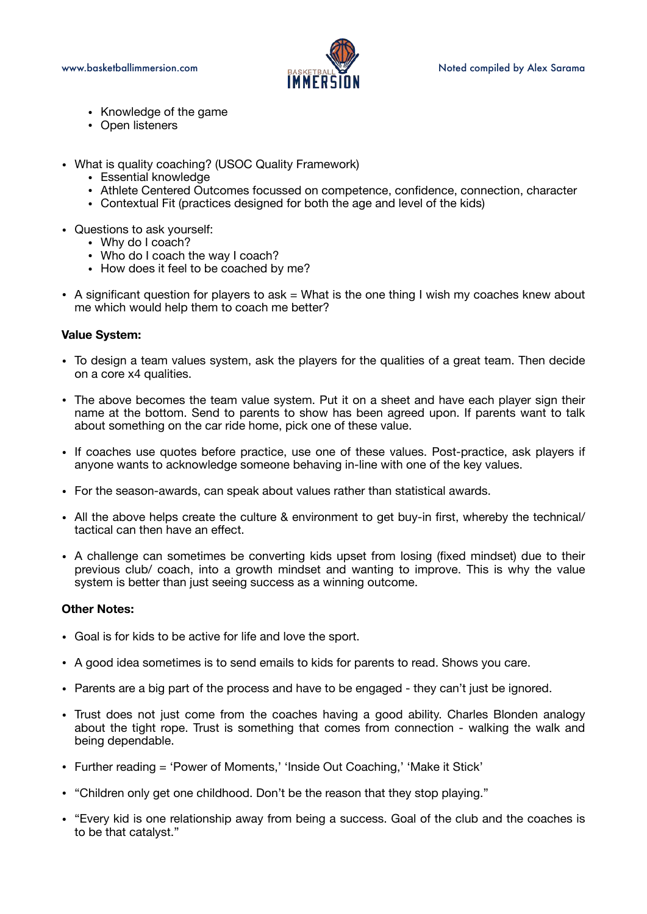

- Knowledge of the game
- Open listeners
- What is quality coaching? (USOC Quality Framework)
	- Essential knowledge
	- Athlete Centered Outcomes focussed on competence, confidence, connection, character
	- Contextual Fit (practices designed for both the age and level of the kids)
- Questions to ask yourself:
	- Why do I coach?
	- Who do I coach the way I coach?
	- How does it feel to be coached by me?
- $\bullet$  A significant question for players to ask  $=$  What is the one thing I wish my coaches knew about me which would help them to coach me better?

## **Value System:**

- To design a team values system, ask the players for the qualities of a great team. Then decide on a core x4 qualities.
- The above becomes the team value system. Put it on a sheet and have each player sign their name at the bottom. Send to parents to show has been agreed upon. If parents want to talk about something on the car ride home, pick one of these value.
- If coaches use quotes before practice, use one of these values. Post-practice, ask players if anyone wants to acknowledge someone behaving in-line with one of the key values.
- For the season-awards, can speak about values rather than statistical awards.
- All the above helps create the culture & environment to get buy-in first, whereby the technical/ tactical can then have an effect.
- A challenge can sometimes be converting kids upset from losing (fixed mindset) due to their previous club/ coach, into a growth mindset and wanting to improve. This is why the value system is better than just seeing success as a winning outcome.

### **Other Notes:**

- Goal is for kids to be active for life and love the sport.
- A good idea sometimes is to send emails to kids for parents to read. Shows you care.
- Parents are a big part of the process and have to be engaged they can't just be ignored.
- Trust does not just come from the coaches having a good ability. Charles Blonden analogy about the tight rope. Trust is something that comes from connection - walking the walk and being dependable.
- Further reading = 'Power of Moments,' 'Inside Out Coaching,' 'Make it Stick'
- "Children only get one childhood. Don't be the reason that they stop playing."
- "Every kid is one relationship away from being a success. Goal of the club and the coaches is to be that catalyst."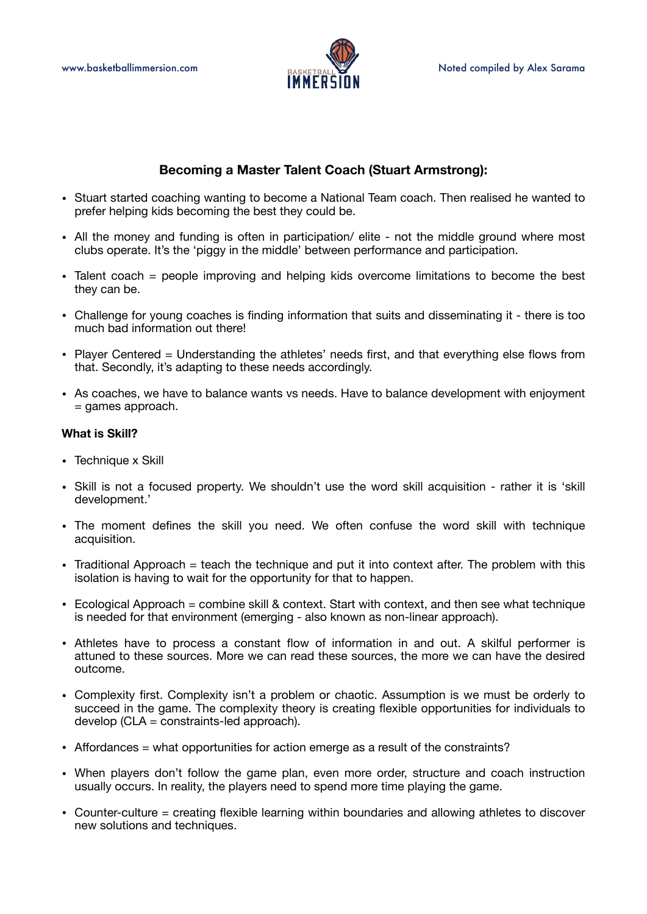

## **Becoming a Master Talent Coach (Stuart Armstrong):**

- Stuart started coaching wanting to become a National Team coach. Then realised he wanted to prefer helping kids becoming the best they could be.
- All the money and funding is often in participation/ elite not the middle ground where most clubs operate. It's the 'piggy in the middle' between performance and participation.
- Talent coach = people improving and helping kids overcome limitations to become the best they can be.
- Challenge for young coaches is finding information that suits and disseminating it there is too much bad information out there!
- Player Centered = Understanding the athletes' needs first, and that everything else flows from that. Secondly, it's adapting to these needs accordingly.
- As coaches, we have to balance wants vs needs. Have to balance development with enjoyment  $=$  games approach.

### **What is Skill?**

- Technique x Skill
- Skill is not a focused property. We shouldn't use the word skill acquisition rather it is 'skill development.'
- The moment defines the skill you need. We often confuse the word skill with technique acquisition.
- Traditional Approach = teach the technique and put it into context after. The problem with this isolation is having to wait for the opportunity for that to happen.
- Ecological Approach = combine skill & context. Start with context, and then see what technique is needed for that environment (emerging - also known as non-linear approach).
- Athletes have to process a constant flow of information in and out. A skilful performer is attuned to these sources. More we can read these sources, the more we can have the desired outcome.
- Complexity first. Complexity isn't a problem or chaotic. Assumption is we must be orderly to succeed in the game. The complexity theory is creating flexible opportunities for individuals to develop (CLA = constraints-led approach).
- Affordances = what opportunities for action emerge as a result of the constraints?
- When players don't follow the game plan, even more order, structure and coach instruction usually occurs. In reality, the players need to spend more time playing the game.
- Counter-culture = creating flexible learning within boundaries and allowing athletes to discover new solutions and techniques.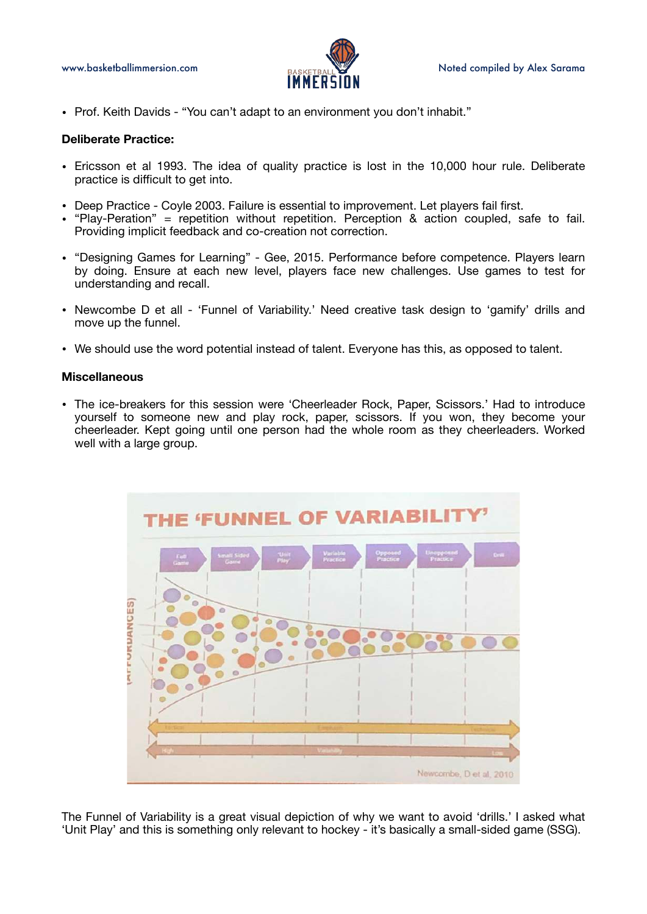

• Prof. Keith Davids - "You can't adapt to an environment you don't inhabit."

#### **Deliberate Practice:**

- Ericsson et al 1993. The idea of quality practice is lost in the 10,000 hour rule. Deliberate practice is difficult to get into.
- Deep Practice Coyle 2003. Failure is essential to improvement. Let players fail first.
- "Play-Peration" = repetition without repetition. Perception & action coupled, safe to fail. Providing implicit feedback and co-creation not correction.
- "Designing Games for Learning" Gee, 2015. Performance before competence. Players learn by doing. Ensure at each new level, players face new challenges. Use games to test for understanding and recall.
- Newcombe D et all 'Funnel of Variability.' Need creative task design to 'gamify' drills and move up the funnel.
- We should use the word potential instead of talent. Everyone has this, as opposed to talent.

#### **Miscellaneous**

• The ice-breakers for this session were 'Cheerleader Rock, Paper, Scissors.' Had to introduce yourself to someone new and play rock, paper, scissors. If you won, they become your cheerleader. Kept going until one person had the whole room as they cheerleaders. Worked well with a large group.



The Funnel of Variability is a great visual depiction of why we want to avoid 'drills.' I asked what 'Unit Play' and this is something only relevant to hockey - it's basically a small-sided game (SSG).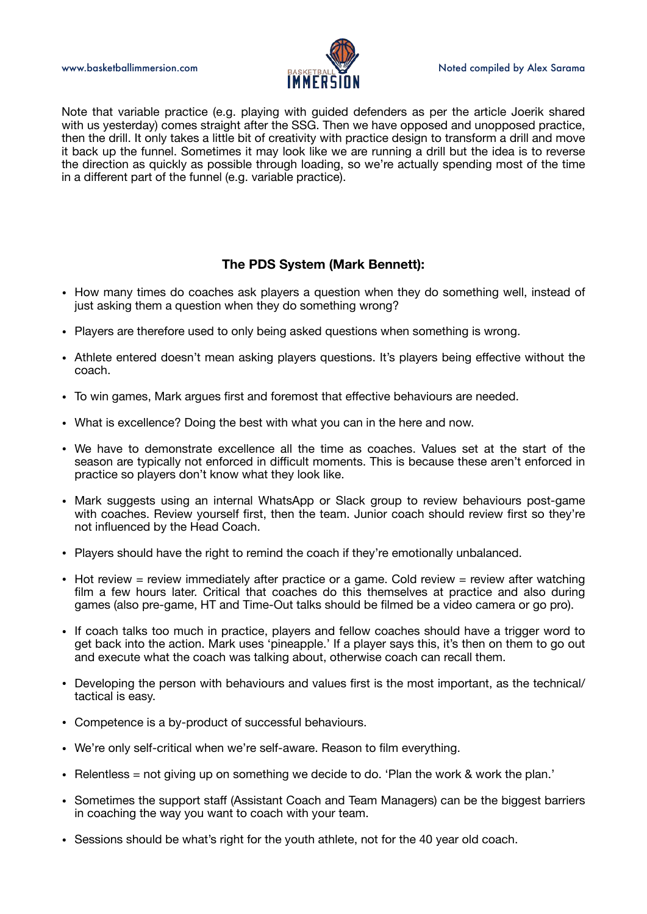

Note that variable practice (e.g. playing with guided defenders as per the article Joerik shared with us yesterday) comes straight after the SSG. Then we have opposed and unopposed practice, then the drill. It only takes a little bit of creativity with practice design to transform a drill and move it back up the funnel. Sometimes it may look like we are running a drill but the idea is to reverse the direction as quickly as possible through loading, so we're actually spending most of the time in a different part of the funnel (e.g. variable practice).

## **The PDS System (Mark Bennett):**

- How many times do coaches ask players a question when they do something well, instead of just asking them a question when they do something wrong?
- Players are therefore used to only being asked questions when something is wrong.
- Athlete entered doesn't mean asking players questions. It's players being effective without the coach.
- To win games, Mark argues first and foremost that effective behaviours are needed.
- What is excellence? Doing the best with what you can in the here and now.
- We have to demonstrate excellence all the time as coaches. Values set at the start of the season are typically not enforced in difficult moments. This is because these aren't enforced in practice so players don't know what they look like.
- Mark suggests using an internal WhatsApp or Slack group to review behaviours post-game with coaches. Review yourself first, then the team. Junior coach should review first so they're not influenced by the Head Coach.
- Players should have the right to remind the coach if they're emotionally unbalanced.
- Hot review = review immediately after practice or a game. Cold review = review after watching film a few hours later. Critical that coaches do this themselves at practice and also during games (also pre-game, HT and Time-Out talks should be filmed be a video camera or go pro).
- If coach talks too much in practice, players and fellow coaches should have a trigger word to get back into the action. Mark uses 'pineapple.' If a player says this, it's then on them to go out and execute what the coach was talking about, otherwise coach can recall them.
- Developing the person with behaviours and values first is the most important, as the technical/ tactical is easy.
- Competence is a by-product of successful behaviours.
- We're only self-critical when we're self-aware. Reason to film everything.
- Relentless = not giving up on something we decide to do. 'Plan the work & work the plan.'
- Sometimes the support staff (Assistant Coach and Team Managers) can be the biggest barriers in coaching the way you want to coach with your team.
- Sessions should be what's right for the youth athlete, not for the 40 year old coach.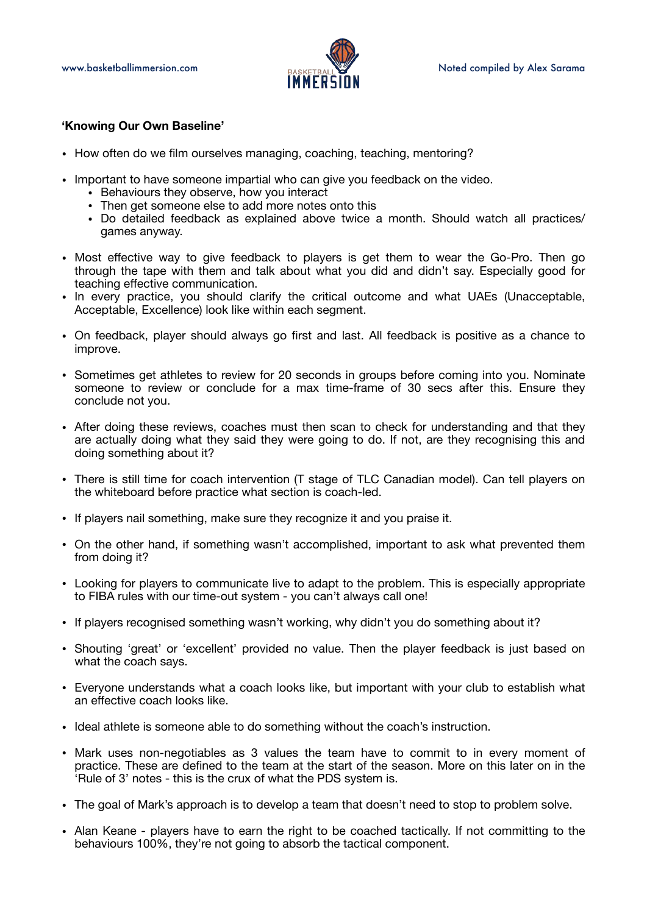

#### **'Knowing Our Own Baseline'**

- How often do we film ourselves managing, coaching, teaching, mentoring?
- Important to have someone impartial who can give you feedback on the video.
	- Behaviours they observe, how you interact
	- Then get someone else to add more notes onto this
	- Do detailed feedback as explained above twice a month. Should watch all practices/ games anyway.
- Most effective way to give feedback to players is get them to wear the Go-Pro. Then go through the tape with them and talk about what you did and didn't say. Especially good for teaching effective communication.
- In every practice, you should clarify the critical outcome and what UAEs (Unacceptable, Acceptable, Excellence) look like within each segment.
- On feedback, player should always go first and last. All feedback is positive as a chance to improve.
- Sometimes get athletes to review for 20 seconds in groups before coming into you. Nominate someone to review or conclude for a max time-frame of 30 secs after this. Ensure they conclude not you.
- After doing these reviews, coaches must then scan to check for understanding and that they are actually doing what they said they were going to do. If not, are they recognising this and doing something about it?
- There is still time for coach intervention (T stage of TLC Canadian model). Can tell players on the whiteboard before practice what section is coach-led.
- If players nail something, make sure they recognize it and you praise it.
- On the other hand, if something wasn't accomplished, important to ask what prevented them from doing it?
- Looking for players to communicate live to adapt to the problem. This is especially appropriate to FIBA rules with our time-out system - you can't always call one!
- If players recognised something wasn't working, why didn't you do something about it?
- Shouting 'great' or 'excellent' provided no value. Then the player feedback is just based on what the coach says.
- Everyone understands what a coach looks like, but important with your club to establish what an effective coach looks like.
- Ideal athlete is someone able to do something without the coach's instruction.
- Mark uses non-negotiables as 3 values the team have to commit to in every moment of practice. These are defined to the team at the start of the season. More on this later on in the 'Rule of 3' notes - this is the crux of what the PDS system is.
- The goal of Mark's approach is to develop a team that doesn't need to stop to problem solve.
- Alan Keane players have to earn the right to be coached tactically. If not committing to the behaviours 100%, they're not going to absorb the tactical component.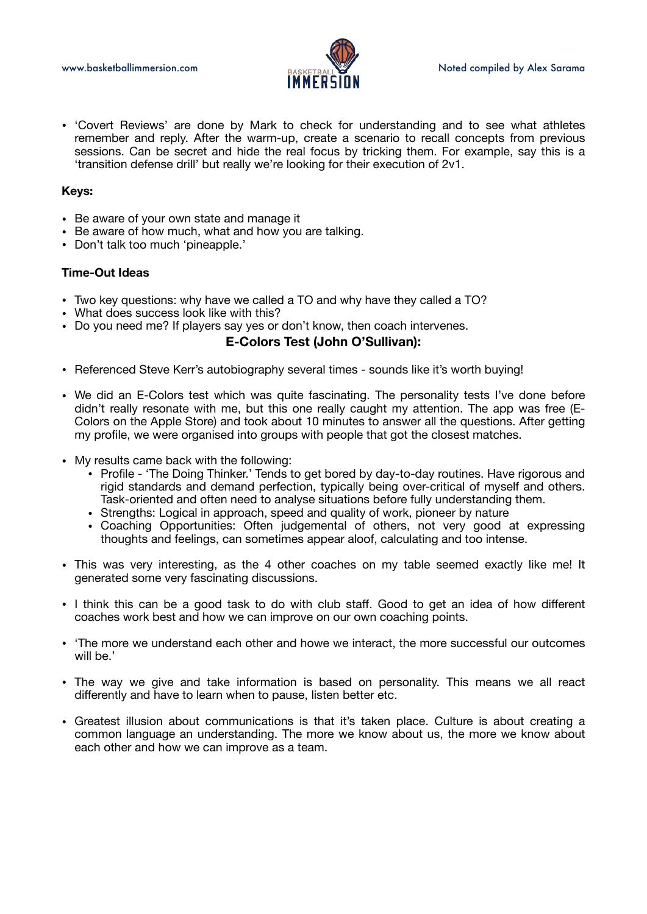

• 'Covert Reviews' are done by Mark to check for understanding and to see what athletes remember and reply. After the warm-up, create a scenario to recall concepts from previous sessions. Can be secret and hide the real focus by tricking them. For example, say this is a 'transition defense drill' but really we're looking for their execution of 2v1.

#### **Keys:**

- Be aware of your own state and manage it
- Be aware of how much, what and how you are talking.
- Don't talk too much 'pineapple.'

#### **Time-Out Ideas**

- Two key questions: why have we called a TO and why have they called a TO?
- What does success look like with this?
- Do you need me? If players say yes or don't know, then coach intervenes.

#### **E-Colors Test (John O'Sullivan):**

- Referenced Steve Kerr's autobiography several times sounds like it's worth buying!
- We did an E-Colors test which was quite fascinating. The personality tests I've done before didn't really resonate with me, but this one really caught my attention. The app was free (E-Colors on the Apple Store) and took about 10 minutes to answer all the questions. After getting my profile, we were organised into groups with people that got the closest matches.
- My results came back with the following:
	- Profile 'The Doing Thinker.' Tends to get bored by day-to-day routines. Have rigorous and rigid standards and demand perfection, typically being over-critical of myself and others. Task-oriented and often need to analyse situations before fully understanding them.
	- Strengths: Logical in approach, speed and quality of work, pioneer by nature
	- Coaching Opportunities: Often judgemental of others, not very good at expressing thoughts and feelings, can sometimes appear aloof, calculating and too intense.
- This was very interesting, as the 4 other coaches on my table seemed exactly like me! It generated some very fascinating discussions.
- I think this can be a good task to do with club staff. Good to get an idea of how different coaches work best and how we can improve on our own coaching points.
- 'The more we understand each other and howe we interact, the more successful our outcomes will be.'
- The way we give and take information is based on personality. This means we all react differently and have to learn when to pause, listen better etc.
- Greatest illusion about communications is that it's taken place. Culture is about creating a common language an understanding. The more we know about us, the more we know about each other and how we can improve as a team.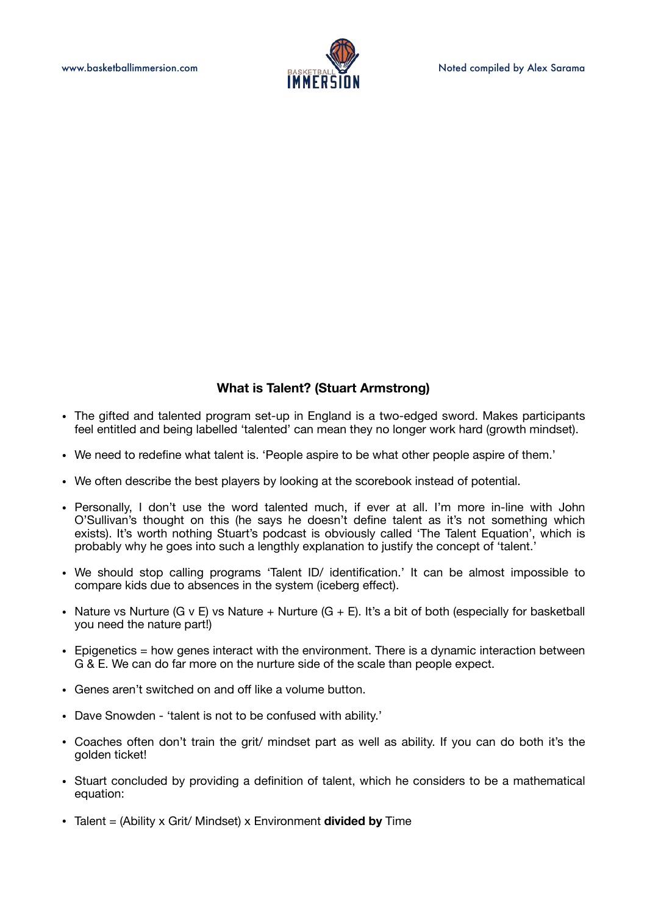

# **What is Talent? (Stuart Armstrong)**

- The gifted and talented program set-up in England is a two-edged sword. Makes participants feel entitled and being labelled 'talented' can mean they no longer work hard (growth mindset).
- We need to redefine what talent is. 'People aspire to be what other people aspire of them.'
- We often describe the best players by looking at the scorebook instead of potential.
- Personally, I don't use the word talented much, if ever at all. I'm more in-line with John O'Sullivan's thought on this (he says he doesn't define talent as it's not something which exists). It's worth nothing Stuart's podcast is obviously called 'The Talent Equation', which is probably why he goes into such a lengthly explanation to justify the concept of 'talent.'
- We should stop calling programs 'Talent ID/ identification.' It can be almost impossible to compare kids due to absences in the system (iceberg effect).
- Nature vs Nurture (G v E) vs Nature + Nurture (G + E). It's a bit of both (especially for basketball you need the nature part!)
- $\bullet$  Epigenetics = how genes interact with the environment. There is a dynamic interaction between G & E. We can do far more on the nurture side of the scale than people expect.
- Genes aren't switched on and off like a volume button.
- Dave Snowden 'talent is not to be confused with ability.'
- Coaches often don't train the grit/ mindset part as well as ability. If you can do both it's the golden ticket!
- Stuart concluded by providing a definition of talent, which he considers to be a mathematical equation:
- Talent = (Ability x Grit/ Mindset) x Environment **divided by** Time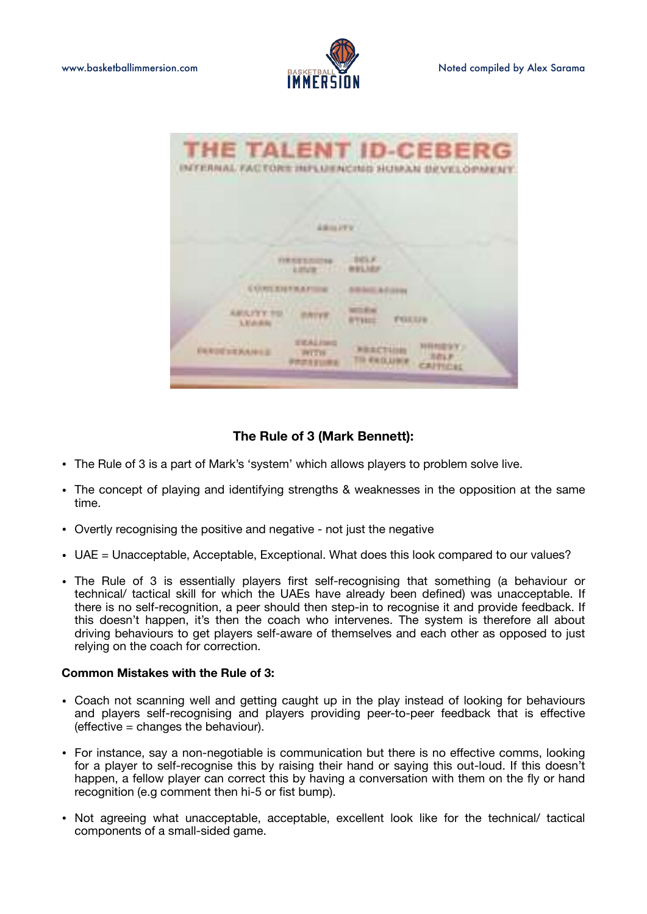

|                              |                                            | THE TALENT ID-CEBERG<br>INTERNAL FACTORS INFLUENCING SUMAN BEVELOPMENT.        |  |
|------------------------------|--------------------------------------------|--------------------------------------------------------------------------------|--|
|                              |                                            |                                                                                |  |
|                              | A BOILEY V                                 |                                                                                |  |
|                              | <b><i>FRIDAY COLL</i></b>                  | WELNER                                                                         |  |
|                              |                                            |                                                                                |  |
| <b>ARICITY TO</b><br>LEASES. |                                            | <b>FULLISH</b><br><b>BYT VALLS</b>                                             |  |
| <b><i>EXTRAPTS</i></b>       | <b>STALING</b><br><b>PALLAS</b><br>P资源发展日本 | 150 Y Y J<br><b><i>RESETTING</i></b><br><b>TID FIESLUIGE</b><br><b>AITICSL</b> |  |

## **The Rule of 3 (Mark Bennett):**

- The Rule of 3 is a part of Mark's 'system' which allows players to problem solve live.
- The concept of playing and identifying strengths & weaknesses in the opposition at the same time.
- Overtly recognising the positive and negative not just the negative
- UAE = Unacceptable, Acceptable, Exceptional. What does this look compared to our values?
- The Rule of 3 is essentially players first self-recognising that something (a behaviour or technical/ tactical skill for which the UAEs have already been defined) was unacceptable. If there is no self-recognition, a peer should then step-in to recognise it and provide feedback. If this doesn't happen, it's then the coach who intervenes. The system is therefore all about driving behaviours to get players self-aware of themselves and each other as opposed to just relying on the coach for correction.

#### **Common Mistakes with the Rule of 3:**

- Coach not scanning well and getting caught up in the play instead of looking for behaviours and players self-recognising and players providing peer-to-peer feedback that is effective (effective = changes the behaviour).
- For instance, say a non-negotiable is communication but there is no effective comms, looking for a player to self-recognise this by raising their hand or saying this out-loud. If this doesn't happen, a fellow player can correct this by having a conversation with them on the fly or hand recognition (e.g comment then hi-5 or fist bump).
- Not agreeing what unacceptable, acceptable, excellent look like for the technical/ tactical components of a small-sided game.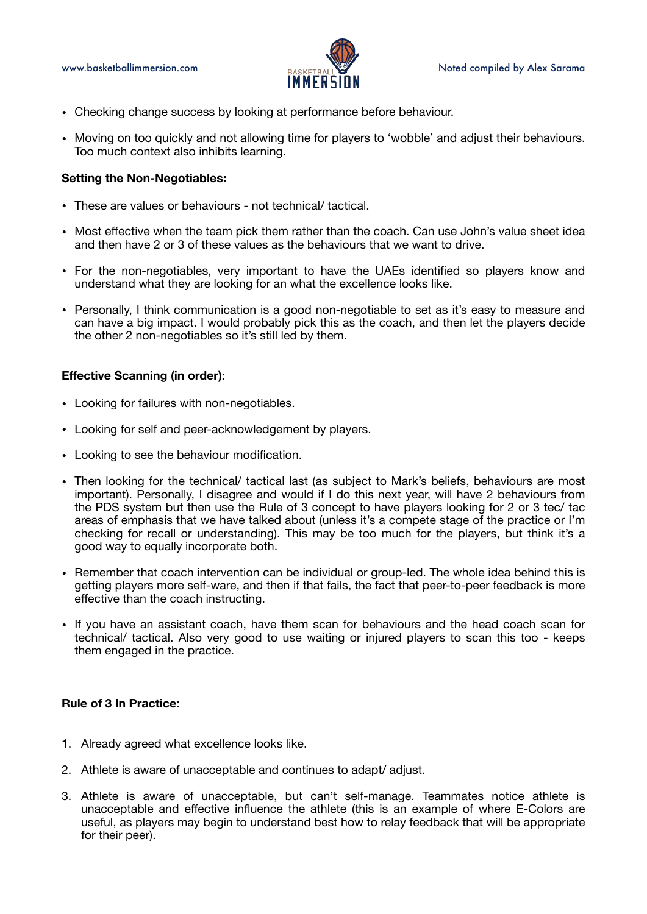

- Checking change success by looking at performance before behaviour.
- Moving on too quickly and not allowing time for players to 'wobble' and adjust their behaviours. Too much context also inhibits learning.

#### **Setting the Non-Negotiables:**

- These are values or behaviours not technical/ tactical.
- Most effective when the team pick them rather than the coach. Can use John's value sheet idea and then have 2 or 3 of these values as the behaviours that we want to drive.
- For the non-negotiables, very important to have the UAEs identified so players know and understand what they are looking for an what the excellence looks like.
- Personally, I think communication is a good non-negotiable to set as it's easy to measure and can have a big impact. I would probably pick this as the coach, and then let the players decide the other 2 non-negotiables so it's still led by them.

#### **Effective Scanning (in order):**

- Looking for failures with non-negotiables.
- Looking for self and peer-acknowledgement by players.
- Looking to see the behaviour modification.
- Then looking for the technical/ tactical last (as subject to Mark's beliefs, behaviours are most important). Personally, I disagree and would if I do this next year, will have 2 behaviours from the PDS system but then use the Rule of 3 concept to have players looking for 2 or 3 tec/ tac areas of emphasis that we have talked about (unless it's a compete stage of the practice or I'm checking for recall or understanding). This may be too much for the players, but think it's a good way to equally incorporate both.
- Remember that coach intervention can be individual or group-led. The whole idea behind this is getting players more self-ware, and then if that fails, the fact that peer-to-peer feedback is more effective than the coach instructing.
- If you have an assistant coach, have them scan for behaviours and the head coach scan for technical/ tactical. Also very good to use waiting or injured players to scan this too - keeps them engaged in the practice.

### **Rule of 3 In Practice:**

- 1. Already agreed what excellence looks like.
- 2. Athlete is aware of unacceptable and continues to adapt/ adjust.
- 3. Athlete is aware of unacceptable, but can't self-manage. Teammates notice athlete is unacceptable and effective influence the athlete (this is an example of where E-Colors are useful, as players may begin to understand best how to relay feedback that will be appropriate for their peer).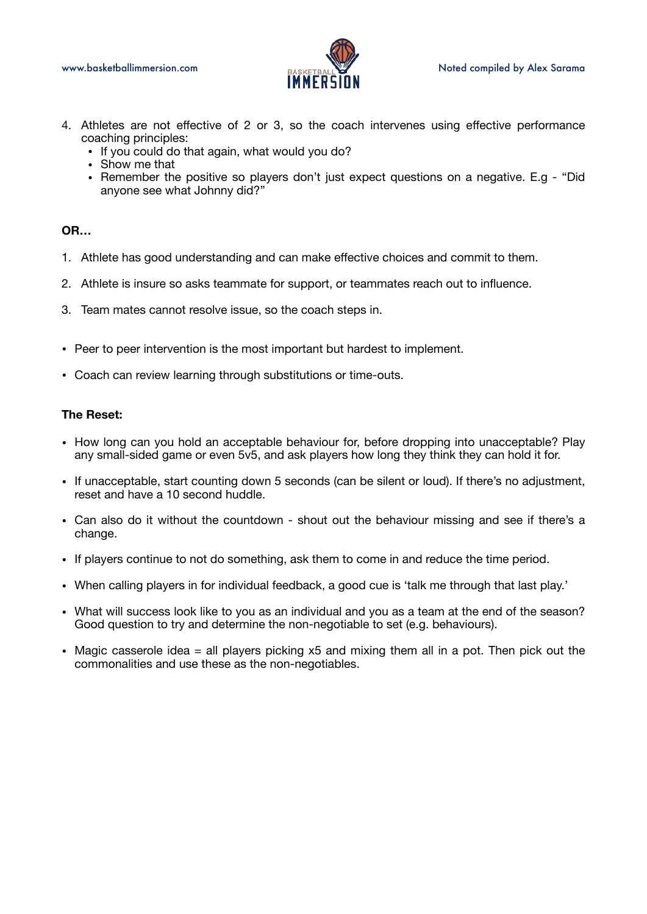

- 4. Athletes are not effective of 2 or 3, so the coach intervenes using effective performance coaching principles:
	- If you could do that again, what would you do?
	- Show me that
	- Remember the positive so players don't just expect questions on a negative. E.g "Did anyone see what Johnny did?"

### **OR…**

- 1. Athlete has good understanding and can make effective choices and commit to them.
- 2. Athlete is insure so asks teammate for support, or teammates reach out to influence.
- 3. Team mates cannot resolve issue, so the coach steps in.
- Peer to peer intervention is the most important but hardest to implement.
- Coach can review learning through substitutions or time-outs.

### **The Reset:**

- How long can you hold an acceptable behaviour for, before dropping into unacceptable? Play any small-sided game or even 5v5, and ask players how long they think they can hold it for.
- If unacceptable, start counting down 5 seconds (can be silent or loud). If there's no adjustment, reset and have a 10 second huddle.
- Can also do it without the countdown shout out the behaviour missing and see if there's a change.
- If players continue to not do something, ask them to come in and reduce the time period.
- When calling players in for individual feedback, a good cue is 'talk me through that last play.'
- What will success look like to you as an individual and you as a team at the end of the season? Good question to try and determine the non-negotiable to set (e.g. behaviours).
- Magic casserole idea  $=$  all players picking  $x5$  and mixing them all in a pot. Then pick out the commonalities and use these as the non-negotiables.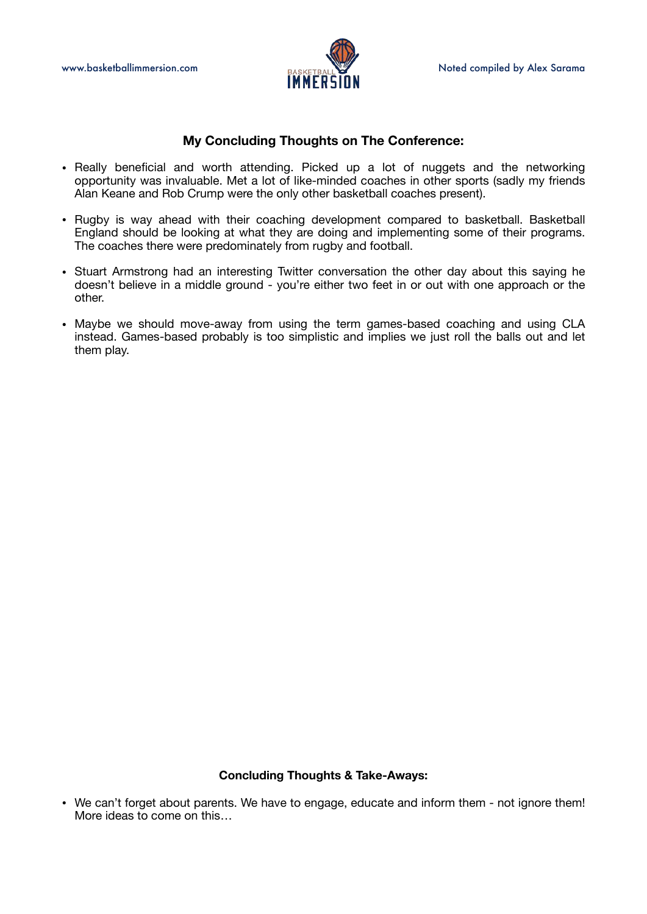

## **My Concluding Thoughts on The Conference:**

- Really beneficial and worth attending. Picked up a lot of nuggets and the networking opportunity was invaluable. Met a lot of like-minded coaches in other sports (sadly my friends Alan Keane and Rob Crump were the only other basketball coaches present).
- Rugby is way ahead with their coaching development compared to basketball. Basketball England should be looking at what they are doing and implementing some of their programs. The coaches there were predominately from rugby and football.
- Stuart Armstrong had an interesting Twitter conversation the other day about this saying he doesn't believe in a middle ground - you're either two feet in or out with one approach or the other.
- Maybe we should move-away from using the term games-based coaching and using CLA instead. Games-based probably is too simplistic and implies we just roll the balls out and let them play.

### **Concluding Thoughts & Take-Aways:**

• We can't forget about parents. We have to engage, educate and inform them - not ignore them! More ideas to come on this…